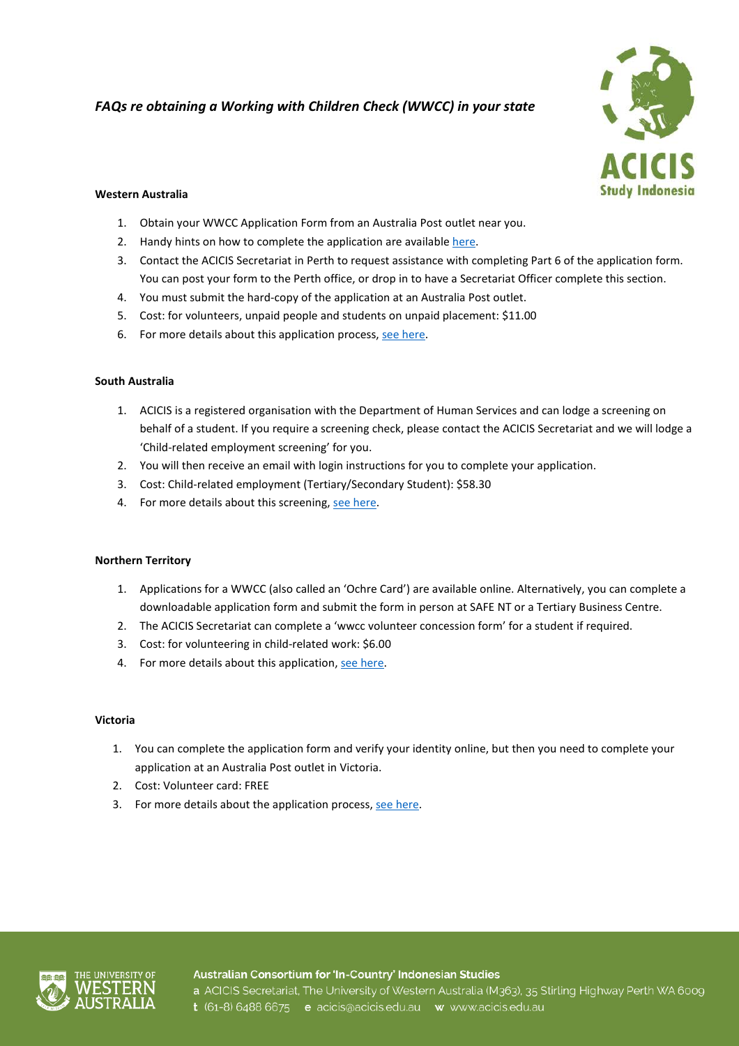# *FAQs re obtaining a Working with Children Check (WWCC) in your state*



## **Western Australia**

- 1. Obtain your WWCC Application Form from an Australia Post outlet near you.
- 2. Handy hints on how to complete the application are availabl[e here.](https://workingwithchildren.wa.gov.au/docs/default-source/default-document-library/completing-the-working-with-children-check-application-form-instructions-for-applicants.pdf)
- 3. Contact the ACICIS Secretariat in Perth to request assistance with completing Part 6 of the application form. You can post your form to the Perth office, or drop in to have a Secretariat Officer complete this section.
- 4. You must submit the hard-copy of the application at an Australia Post outlet.
- 5. Cost: for volunteers, unpaid people and students on unpaid placement: \$11.00
- 6. For more details about this application process[, see here.](https://workingwithchildren.wa.gov.au/applicants-card-holders/applying-for-a-wwc-check/how-to-apply)

## **South Australia**

- 1. ACICIS is a registered organisation with the Department of Human Services and can lodge a screening on behalf of a student. If you require a screening check, please contact the ACICIS Secretariat and we will lodge a 'Child-related employment screening' for you.
- 2. You will then receive an email with login instructions for you to complete your application.
- 3. Cost: Child-related employment (Tertiary/Secondary Student): \$58.30
- 4. For more details about this screening[, see here.](https://screening.dcsi.sa.gov.au/screening-process/child-related-employment-screening)

## **Northern Territory**

- 1. Applications for a WWCC (also called an 'Ochre Card') are available online. Alternatively, you can complete a downloadable application form and submit the form in person at SAFE NT or a Tertiary Business Centre.
- 2. The ACICIS Secretariat can complete a 'wwcc volunteer concession form' for a student if required.
- 3. Cost: for volunteering in child-related work: \$6.00
- 4. For more details about this application[, see here.](https://nt.gov.au/emergency/community-safety/apply-for-a-working-with-children-clearance)

## **Victoria**

- 1. You can complete the application form and verify your identity online, but then you need to complete your application at an Australia Post outlet in Victoria.
- 2. Cost: Volunteer card: FREE
- 3. For more details about the application process[, see here.](http://www.workingwithchildren.vic.gov.au/home/applications/the+application+process/index.html)